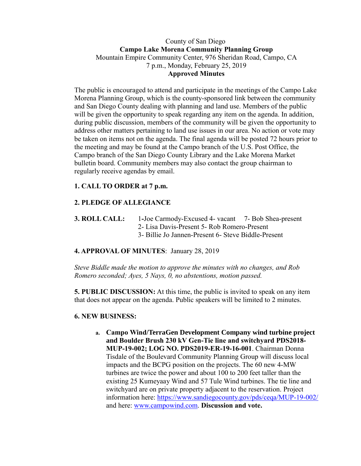### County of San Diego **Campo Lake Morena Community Planning Group** Mountain Empire Community Center, 976 Sheridan Road, Campo, CA 7 p.m., Monday, February 25, 2019 **Approved Minutes**

The public is encouraged to attend and participate in the meetings of the Campo Lake Morena Planning Group, which is the county-sponsored link between the community and San Diego County dealing with planning and land use. Members of the public will be given the opportunity to speak regarding any item on the agenda. In addition, during public discussion, members of the community will be given the opportunity to address other matters pertaining to land use issues in our area. No action or vote may be taken on items not on the agenda. The final agenda will be posted 72 hours prior to the meeting and may be found at the Campo branch of the U.S. Post Office, the Campo branch of the San Diego County Library and the Lake Morena Market bulletin board. Community members may also contact the group chairman to regularly receive agendas by email.

# **1. CALL TO ORDER at 7 p.m.**

# **2. PLEDGE OF ALLEGIANCE**

**3. ROLL CALL:** 1**-**Joe Carmody-Excused 4- vacant 7- Bob Shea-present 2- Lisa Davis-Present 5- Rob Romero-Present 3- Billie Jo Jannen-Present 6- Steve Biddle-Present

# **4. APPROVAL OF MINUTES**: January 28, 2019

*Steve Biddle made the motion to approve the minutes with no changes, and Rob Romero seconded; Ayes, 5 Nays, 0, no abstentions, motion passed.*

**5. PUBLIC DISCUSSION:** At this time, the public is invited to speak on any item that does not appear on the agenda. Public speakers will be limited to 2 minutes.

#### **6. NEW BUSINESS:**

**a. Campo Wind/TerraGen Development Company wind turbine project and Boulder Brush 230 kV Gen-Tie line and switchyard PDS2018- MUP-19-002; LOG NO. PDS2019-ER-19-16-001**. Chairman Donna Tisdale of the Boulevard Community Planning Group will discuss local impacts and the BCPG position on the projects. The 60 new 4-MW turbines are twice the power and about 100 to 200 feet taller than the existing 25 Kumeyaay Wind and 57 Tule Wind turbines. The tie line and switchyard are on private property adjacent to the reservation. Project information here: https://www.sandiegocounty.gov/pds/ceqa/MUP-19-002/ and here: www.campowind.com. **Discussion and vote.**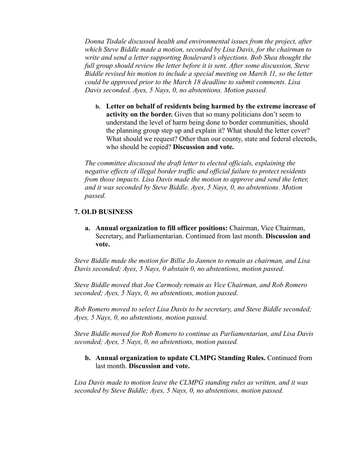*Donna Tisdale discussed health and environmental issues from the project, after which Steve Biddle made a motion, seconded by Lisa Davis, for the chairman to write and send a letter supporting Boulevard's objections. Bob Shea thought the full group should review the letter before it is sent. After some discussion, Steve Biddle revised his motion to include a special meeting on March 11, so the letter could be approved prior to the March 18 deadline to submit comments. Lisa Davis seconded. Ayes, 5 Nays, 0, no abstentions. Motion passed.*

**b. Letter on behalf of residents being harmed by the extreme increase of activity on the border.** Given that so many politicians don't seem to understand the level of harm being done to border communities, should the planning group step up and explain it? What should the letter cover? What should we request? Other than our county, state and federal electeds, who should be copied? **Discussion and vote.**

*The committee discussed the draft letter to elected officials, explaining the negative effects of illegal border traffic and official failure to protect residents from those impacts. Lisa Davis made the motion to approve and send the letter, and it was seconded by Steve Biddle. Ayes, 5 Nays, 0, no abstentions. Motion passed.*

#### **7. OLD BUSINESS**

**a. Annual organization to fill officer positions:** Chairman, Vice Chairman, Secretary, and Parliamentarian. Continued from last month. **Discussion and vote.** 

*Steve Biddle made the motion for Billie Jo Jannen to remain as chairman, and Lisa Davis seconded; Ayes, 5 Nays, 0 abstain 0, no abstentions, motion passed.* 

*Steve Biddle moved that Joe Carmody remain as Vice Chairman, and Rob Romero seconded; Ayes, 5 Nays, 0, no abstentions, motion passed.* 

*Rob Romero moved to select Lisa Davis to be secretary, and Steve Biddle seconded; Ayes, 5 Nays, 0, no abstentions, motion passed.* 

*Steve Biddle moved for Rob Romero to continue as Parliamentarian, and Lisa Davis seconded; Ayes, 5 Nays, 0, no abstentions, motion passed.*

#### **b. Annual organization to update CLMPG Standing Rules.** Continued from last month. **Discussion and vote.**

*Lisa Davis made to motion leave the CLMPG standing rules as written, and it was seconded by Steve Biddle; Ayes, 5 Nays, 0, no abstentions, motion passed.*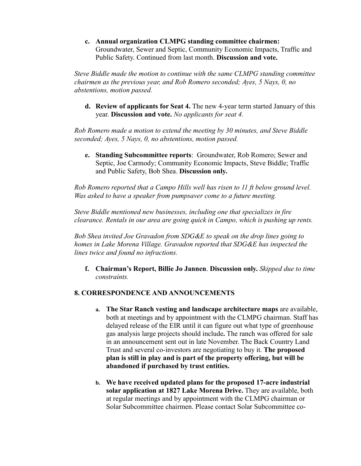**c. Annual organization CLMPG standing committee chairmen:**  Groundwater, Sewer and Septic, Community Economic Impacts, Traffic and Public Safety. Continued from last month. **Discussion and vote.** 

*Steve Biddle made the motion to continue with the same CLMPG standing committee chairmen as the previous year, and Rob Romero seconded; Ayes, 5 Nays, 0, no abstentions, motion passed.*

**d. Review of applicants for Seat 4.** The new 4-year term started January of this year. **Discussion and vote.** *No applicants for seat 4.*

*Rob Romero made a motion to extend the meeting by 30 minutes, and Steve Biddle seconded; Ayes, 5 Nays, 0, no abstentions, motion passed.*

**e. Standing Subcommittee reports**: Groundwater, Rob Romero; Sewer and Septic, Joe Carmody; Community Economic Impacts, Steve Biddle; Traffic and Public Safety, Bob Shea. **Discussion only.** 

*Rob Romero reported that a Campo Hills well has risen to 11 ft below ground level. Was asked to have a speaker from pumpsaver come to a future meeting.* 

*Steve Biddle mentioned new businesses, including one that specializes in fire clearance. Rentals in our area are going quick in Campo, which is pushing up rents.* 

*Bob Shea invited Joe Gravadon from SDG&E to speak on the drop lines going to homes in Lake Morena Village. Gravadon reported that SDG&E has inspected the lines twice and found no infractions.*

**f. Chairman's Report, Billie Jo Jannen**. **Discussion only.** *Skipped due to time constraints.*

### **8. CORRESPONDENCE AND ANNOUNCEMENTS**

- **a. The Star Ranch vesting and landscape architecture maps** are available, both at meetings and by appointment with the CLMPG chairman. Staff has delayed release of the EIR until it can figure out what type of greenhouse gas analysis large projects should include**.** The ranch was offered for sale in an announcement sent out in late November. The Back Country Land Trust and several co-investors are negotiating to buy it. **The proposed plan is still in play and is part of the property offering, but will be abandoned if purchased by trust entities.**
- **b. We have received updated plans for the proposed 17-acre industrial solar application at 1827 Lake Morena Drive.** They are available, both at regular meetings and by appointment with the CLMPG chairman or Solar Subcommittee chairmen. Please contact Solar Subcommittee co-